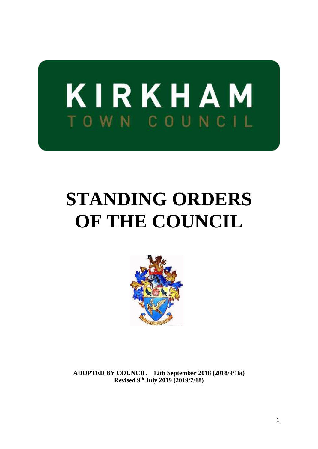

# **STANDING ORDERS OF THE COUNCIL**



**ADOPTED BY COUNCIL 12th September 2018 (2018/9/16i) Revised 9th July 2019 (2019/7/18)**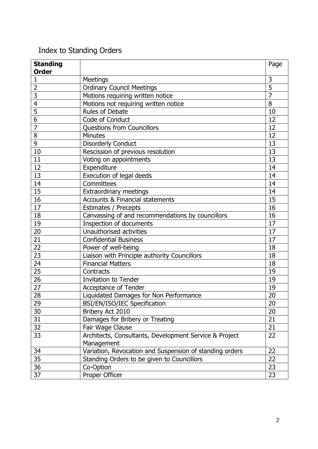# Index to Standing Orders

| <b>Standing</b><br><b>Order</b> |                                                         | Page           |
|---------------------------------|---------------------------------------------------------|----------------|
| $\mathbf{1}$                    | <b>Meetings</b>                                         | 3              |
| $\overline{2}$                  | <b>Ordinary Council Meetings</b>                        | 5              |
| 3                               | Motions requiring written notice                        | $\overline{7}$ |
| $\overline{4}$                  | Motions not requiring written notice                    | 8              |
| 5                               | Rules of Debate                                         | 10             |
| 6                               | Code of Conduct                                         | 12             |
| $\overline{7}$                  | Questions from Councillors                              | 12             |
| 8                               | <b>Minutes</b>                                          | 12             |
| 9                               | <b>Disorderly Conduct</b>                               | 13             |
| 10                              | Rescission of previous resolution                       | 13             |
| 11                              | Voting on appointments                                  | 13             |
| 12                              | Expenditure                                             | 14             |
| 13                              | Execution of legal deeds                                | 14             |
| 14                              | Committees                                              | 14             |
| 15                              | <b>Extraordinary meetings</b>                           | 14             |
| 16                              | <b>Accounts &amp; Financial statements</b>              | 15             |
| 17                              | Estimates / Precepts                                    | 16             |
| 18                              | Canvassing of and recommendations by councillors        | 16             |
| 19                              | Inspection of documents                                 | 17             |
| 20                              | Unauthorised activities                                 | 17             |
| 21                              | <b>Confidential Business</b>                            | 17             |
| 22                              | Power of well-being                                     | 18             |
| 23                              | Liaison with Principle authority Councillors            | 18             |
| 24                              | <b>Financial Matters</b>                                | 18             |
| 25                              | Contracts                                               | 19             |
| 26                              | <b>Invitation to Tender</b>                             | 19             |
| 27                              | Acceptance of Tender                                    | 19             |
| 28                              | Liquidated Damages for Non Performance                  | 20             |
| 29                              | BSI/EN/ISO/IEC Specification                            | 20             |
| 30                              | Bribery Act 2010                                        | 20             |
| 31                              | Damages for Bribery or Treating                         | 21             |
| 32                              | Fair Wage Clause                                        | 21             |
| 33                              | Architects, Consultants, Development Service & Project  | 22             |
|                                 | Management                                              |                |
| 34                              | Variation, Revocation and Suspension of standing orders | 22             |
| 35                              | Standing Orders to be given to Councillors              | 22             |
| 36                              | Co-Option                                               | 23             |
| 37                              | Proper Officer                                          | 23             |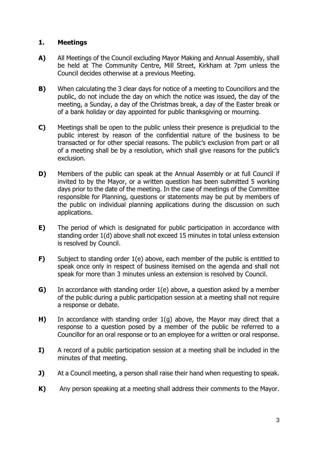# **1. Meetings**

- **A)** All Meetings of the Council excluding Mayor Making and Annual Assembly, shall be held at The Community Centre, Mill Street, Kirkham at 7pm unless the Council decides otherwise at a previous Meeting.
- **B)** When calculating the 3 clear days for notice of a meeting to Councillors and the public, do not include the day on which the notice was issued, the day of the meeting, a Sunday, a day of the Christmas break, a day of the Easter break or of a bank holiday or day appointed for public thanksgiving or mourning.
- **C)** Meetings shall be open to the public unless their presence is prejudicial to the public interest by reason of the confidential nature of the business to be transacted or for other special reasons. The public's exclusion from part or all of a meeting shall be by a resolution, which shall give reasons for the public's exclusion.
- **D)** Members of the public can speak at the Annual Assembly or at full Council if invited to by the Mayor, or a written question has been submitted 5 working days prior to the date of the meeting. In the case of meetings of the Committee responsible for Planning, questions or statements may be put by members of the public on individual planning applications during the discussion on such applications.
- **E)** The period of which is designated for public participation in accordance with standing order 1(d) above shall not exceed 15 minutes in total unless extension is resolved by Council.
- **F)** Subject to standing order 1(e) above, each member of the public is entitled to speak once only in respect of business itemised on the agenda and shall not speak for more than 3 minutes unless an extension is resolved by Council.
- **G)** In accordance with standing order 1(e) above, a question asked by a member of the public during a public participation session at a meeting shall not require a response or debate.
- **H)** In accordance with standing order 1(g) above, the Mayor may direct that a response to a question posed by a member of the public be referred to a Councillor for an oral response or to an employee for a written or oral response.
- **I)** A record of a public participation session at a meeting shall be included in the minutes of that meeting.
- **J)** At a Council meeting, a person shall raise their hand when requesting to speak.
- **K)** Any person speaking at a meeting shall address their comments to the Mayor.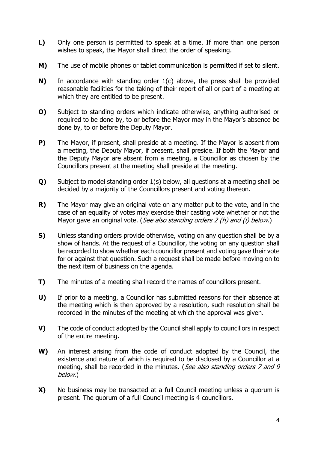- **L)** Only one person is permitted to speak at a time. If more than one person wishes to speak, the Mayor shall direct the order of speaking.
- **M)** The use of mobile phones or tablet communication is permitted if set to silent.
- **N)** In accordance with standing order 1(c) above, the press shall be provided reasonable facilities for the taking of their report of all or part of a meeting at which they are entitled to be present.
- **O)** Subject to standing orders which indicate otherwise, anything authorised or required to be done by, to or before the Mayor may in the Mayor's absence be done by, to or before the Deputy Mayor.
- **P)** The Mayor, if present, shall preside at a meeting. If the Mayor is absent from a meeting, the Deputy Mayor, if present, shall preside. If both the Mayor and the Deputy Mayor are absent from a meeting, a Councillor as chosen by the Councillors present at the meeting shall preside at the meeting.
- **Q)** Subject to model standing order 1(s) below, all questions at a meeting shall be decided by a majority of the Councillors present and voting thereon.
- **R)** The Mayor may give an original vote on any matter put to the vote, and in the case of an equality of votes may exercise their casting vote whether or not the Mayor gave an original vote. (See also standing orders 2 (h) and (i) below.)
- **S)** Unless standing orders provide otherwise, voting on any question shall be by a show of hands. At the request of a Councillor, the voting on any question shall be recorded to show whether each councillor present and voting gave their vote for or against that question. Such a request shall be made before moving on to the next item of business on the agenda.
- **T)** The minutes of a meeting shall record the names of councillors present.
- **U)** If prior to a meeting, a Councillor has submitted reasons for their absence at the meeting which is then approved by a resolution, such resolution shall be recorded in the minutes of the meeting at which the approval was given.
- **V)** The code of conduct adopted by the Council shall apply to councillors in respect of the entire meeting.
- **W)** An interest arising from the code of conduct adopted by the Council, the existence and nature of which is required to be disclosed by a Councillor at a meeting, shall be recorded in the minutes. (See also standing orders 7 and 9 below.)
- **X)** No business may be transacted at a full Council meeting unless a quorum is present. The quorum of a full Council meeting is 4 councillors.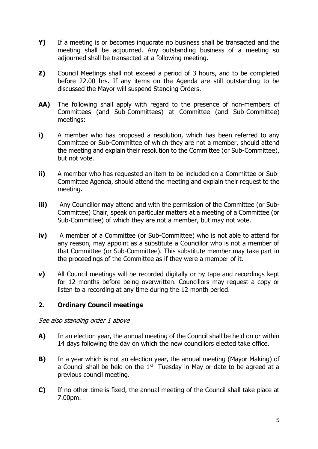- **Y)** If a meeting is or becomes inquorate no business shall be transacted and the meeting shall be adjourned. Any outstanding business of a meeting so adjourned shall be transacted at a following meeting.
- **Z)** Council Meetings shall not exceed a period of 3 hours, and to be completed before 22.00 hrs. If any items on the Agenda are still outstanding to be discussed the Mayor will suspend Standing Orders.
- **AA)** The following shall apply with regard to the presence of non-members of Committees (and Sub-Committees) at Committee (and Sub-Committee) meetings:
- **i)** A member who has proposed a resolution, which has been referred to any Committee or Sub-Committee of which they are not a member, should attend the meeting and explain their resolution to the Committee (or Sub-Committee), but not vote.
- **ii)** A member who has requested an item to be included on a Committee or Sub-Committee Agenda, should attend the meeting and explain their request to the meeting.
- **iii)** Any Councillor may attend and with the permission of the Committee (or Sub-Committee) Chair, speak on particular matters at a meeting of a Committee (or Sub-Committee) of which they are not a member, but may not vote.
- **iv)** A member of a Committee (or Sub-Committee) who is not able to attend for any reason, may appoint as a substitute a Councillor who is not a member of that Committee (or Sub-Committee). This substitute member may take part in the proceedings of the Committee as if they were a member of it.
- **v)** All Council meetings will be recorded digitally or by tape and recordings kept for 12 months before being overwritten. Councillors may request a copy or listen to a recording at any time during the 12 month period.

# **2. Ordinary Council meetings**

See also standing order 1 above

- **A)** In an election year, the annual meeting of the Council shall be held on or within 14 days following the day on which the new councillors elected take office.
- **B)** In a year which is not an election year, the annual meeting (Mayor Making) of a Council shall be held on the  $1<sup>st</sup>$  Tuesday in May or date to be agreed at a previous council meeting.
- **C)** If no other time is fixed, the annual meeting of the Council shall take place at 7.00pm.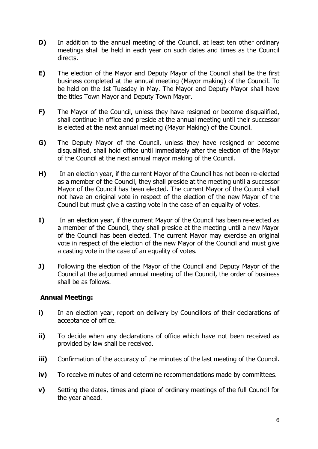- **D)** In addition to the annual meeting of the Council, at least ten other ordinary meetings shall be held in each year on such dates and times as the Council directs.
- **E)** The election of the Mayor and Deputy Mayor of the Council shall be the first business completed at the annual meeting (Mayor making) of the Council. To be held on the 1st Tuesday in May. The Mayor and Deputy Mayor shall have the titles Town Mayor and Deputy Town Mayor.
- **F)** The Mayor of the Council, unless they have resigned or become disqualified, shall continue in office and preside at the annual meeting until their successor is elected at the next annual meeting (Mayor Making) of the Council.
- **G)** The Deputy Mayor of the Council, unless they have resigned or become disqualified, shall hold office until immediately after the election of the Mayor of the Council at the next annual mayor making of the Council.
- **H)** In an election year, if the current Mayor of the Council has not been re-elected as a member of the Council, they shall preside at the meeting until a successor Mayor of the Council has been elected. The current Mayor of the Council shall not have an original vote in respect of the election of the new Mayor of the Council but must give a casting vote in the case of an equality of votes.
- **I)** In an election year, if the current Mayor of the Council has been re-elected as a member of the Council, they shall preside at the meeting until a new Mayor of the Council has been elected. The current Mayor may exercise an original vote in respect of the election of the new Mayor of the Council and must give a casting vote in the case of an equality of votes.
- **J)** Following the election of the Mayor of the Council and Deputy Mayor of the Council at the adjourned annual meeting of the Council, the order of business shall be as follows.

#### **Annual Meeting:**

- **i)** In an election year, report on delivery by Councillors of their declarations of acceptance of office.
- **ii)** To decide when any declarations of office which have not been received as provided by law shall be received.
- **iii)** Confirmation of the accuracy of the minutes of the last meeting of the Council.
- **iv)** To receive minutes of and determine recommendations made by committees.
- **v)** Setting the dates, times and place of ordinary meetings of the full Council for the year ahead.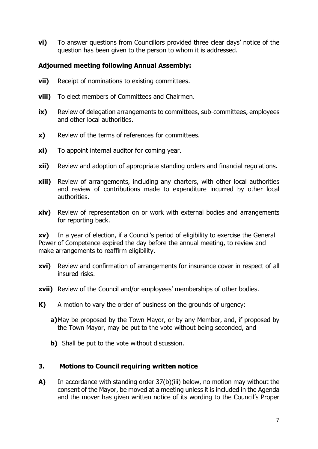**vi)** To answer questions from Councillors provided three clear days' notice of the question has been given to the person to whom it is addressed.

#### **Adjourned meeting following Annual Assembly:**

- **vii)** Receipt of nominations to existing committees.
- **viii)** To elect members of Committees and Chairmen.
- **ix)** Review of delegation arrangements to committees, sub-committees, employees and other local authorities.
- **x)** Review of the terms of references for committees.
- **xi)** To appoint internal auditor for coming year.
- **xii)** Review and adoption of appropriate standing orders and financial regulations.
- **xiii)** Review of arrangements, including any charters, with other local authorities and review of contributions made to expenditure incurred by other local authorities.
- **xiv)** Review of representation on or work with external bodies and arrangements for reporting back.

**xv)** In a year of election, if a Council's period of eligibility to exercise the General Power of Competence expired the day before the annual meeting, to review and make arrangements to reaffirm eligibility.

- **xvi)** Review and confirmation of arrangements for insurance cover in respect of all insured risks.
- **xvii)** Review of the Council and/or employees' memberships of other bodies.
- **K)** A motion to vary the order of business on the grounds of urgency:
	- **a)**May be proposed by the Town Mayor, or by any Member, and, if proposed by the Town Mayor, may be put to the vote without being seconded, and
	- **b)** Shall be put to the vote without discussion.

#### **3. Motions to Council requiring written notice**

**A)** In accordance with standing order 37(b)(iii) below, no motion may without the consent of the Mayor, be moved at a meeting unless it is included in the Agenda and the mover has given written notice of its wording to the Council's Proper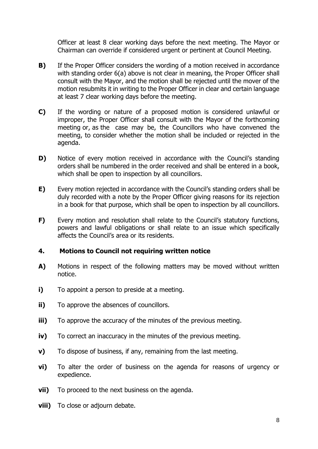Officer at least 8 clear working days before the next meeting. The Mayor or Chairman can override if considered urgent or pertinent at Council Meeting.

- **B)** If the Proper Officer considers the wording of a motion received in accordance with standing order 6(a) above is not clear in meaning, the Proper Officer shall consult with the Mayor, and the motion shall be rejected until the mover of the motion resubmits it in writing to the Proper Officer in clear and certain language at least 7 clear working days before the meeting.
- **C)** If the wording or nature of a proposed motion is considered unlawful or improper, the Proper Officer shall consult with the Mayor of the forthcoming meeting or, as the case may be, the Councillors who have convened the meeting, to consider whether the motion shall be included or rejected in the agenda.
- **D)** Notice of every motion received in accordance with the Council's standing orders shall be numbered in the order received and shall be entered in a book, which shall be open to inspection by all councillors.
- **E)** Every motion rejected in accordance with the Council's standing orders shall be duly recorded with a note by the Proper Officer giving reasons for its rejection in a book for that purpose, which shall be open to inspection by all councillors.
- **F)** Every motion and resolution shall relate to the Council's statutory functions, powers and lawful obligations or shall relate to an issue which specifically affects the Council's area or its residents.

#### **4. Motions to Council not requiring written notice**

- **A)** Motions in respect of the following matters may be moved without written notice.
- **i)** To appoint a person to preside at a meeting.
- **ii)** To approve the absences of councillors.
- **iii)** To approve the accuracy of the minutes of the previous meeting.
- **iv)** To correct an inaccuracy in the minutes of the previous meeting.
- **v)** To dispose of business, if any, remaining from the last meeting.
- **vi)** To alter the order of business on the agenda for reasons of urgency or expedience.
- **vii)** To proceed to the next business on the agenda.
- **viii)** To close or adjourn debate.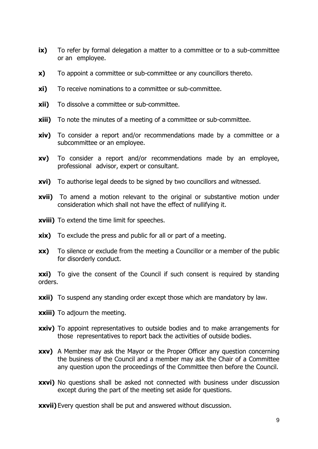- **ix)** To refer by formal delegation a matter to a committee or to a sub-committee or an employee.
- **x)** To appoint a committee or sub-committee or any councillors thereto.
- **xi)** To receive nominations to a committee or sub-committee.
- **xii)** To dissolve a committee or sub-committee.
- **xiii)** To note the minutes of a meeting of a committee or sub-committee.
- **xiv)** To consider a report and/or recommendations made by a committee or a subcommittee or an employee.
- **xv)** To consider a report and/or recommendations made by an employee, professional advisor, expert or consultant.
- **xvi)** To authorise legal deeds to be signed by two councillors and witnessed.
- **xvii)** To amend a motion relevant to the original or substantive motion under consideration which shall not have the effect of nullifying it.
- **xviii)** To extend the time limit for speeches.
- **xix)** To exclude the press and public for all or part of a meeting.
- **xx)** To silence or exclude from the meeting a Councillor or a member of the public for disorderly conduct.

**xxi)** To give the consent of the Council if such consent is required by standing orders.

- **xxii)** To suspend any standing order except those which are mandatory by law.
- **xxiii)** To adjourn the meeting.
- **xxiv)** To appoint representatives to outside bodies and to make arrangements for those representatives to report back the activities of outside bodies.
- **xxv)** A Member may ask the Mayor or the Proper Officer any question concerning the business of the Council and a member may ask the Chair of a Committee any question upon the proceedings of the Committee then before the Council.
- **xxvi)** No questions shall be asked not connected with business under discussion except during the part of the meeting set aside for questions.
- **xxvii)** Every question shall be put and answered without discussion.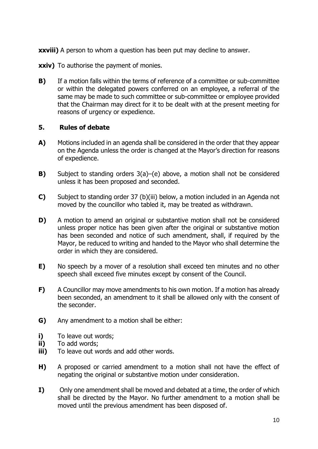**xxviii)** A person to whom a question has been put may decline to answer.

**xxiv)** To authorise the payment of monies.

**B)** If a motion falls within the terms of reference of a committee or sub-committee or within the delegated powers conferred on an employee, a referral of the same may be made to such committee or sub-committee or employee provided that the Chairman may direct for it to be dealt with at the present meeting for reasons of urgency or expedience.

#### **5. Rules of debate**

- **A)** Motions included in an agenda shall be considered in the order that they appear on the Agenda unless the order is changed at the Mayor's direction for reasons of expedience.
- **B)** Subject to standing orders 3(a)–(e) above, a motion shall not be considered unless it has been proposed and seconded.
- **C)** Subject to standing order 37 (b)(iii) below, a motion included in an Agenda not moved by the councillor who tabled it, may be treated as withdrawn.
- **D)** A motion to amend an original or substantive motion shall not be considered unless proper notice has been given after the original or substantive motion has been seconded and notice of such amendment, shall, if required by the Mayor, be reduced to writing and handed to the Mayor who shall determine the order in which they are considered.
- **E)** No speech by a mover of a resolution shall exceed ten minutes and no other speech shall exceed five minutes except by consent of the Council.
- **F)** A Councillor may move amendments to his own motion. If a motion has already been seconded, an amendment to it shall be allowed only with the consent of the seconder.
- **G)** Any amendment to a motion shall be either:
- **i)** To leave out words;
- **ii)** To add words;
- **iii)** To leave out words and add other words.
- **H)** A proposed or carried amendment to a motion shall not have the effect of negating the original or substantive motion under consideration.
- **I)** Only one amendment shall be moved and debated at a time, the order of which shall be directed by the Mayor. No further amendment to a motion shall be moved until the previous amendment has been disposed of.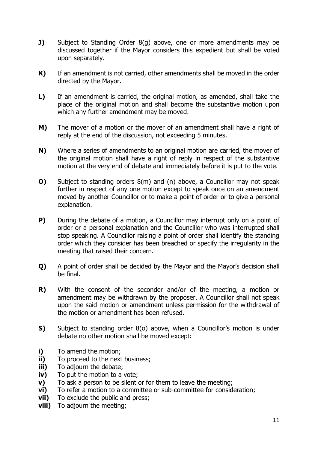- **J)** Subject to Standing Order 8(g) above, one or more amendments may be discussed together if the Mayor considers this expedient but shall be voted upon separately.
- **K)** If an amendment is not carried, other amendments shall be moved in the order directed by the Mayor.
- **L)** If an amendment is carried, the original motion, as amended, shall take the place of the original motion and shall become the substantive motion upon which any further amendment may be moved.
- **M)** The mover of a motion or the mover of an amendment shall have a right of reply at the end of the discussion, not exceeding 5 minutes.
- **N)** Where a series of amendments to an original motion are carried, the mover of the original motion shall have a right of reply in respect of the substantive motion at the very end of debate and immediately before it is put to the vote.
- **O)** Subject to standing orders 8(m) and (n) above, a Councillor may not speak further in respect of any one motion except to speak once on an amendment moved by another Councillor or to make a point of order or to give a personal explanation.
- **P)** During the debate of a motion, a Councillor may interrupt only on a point of order or a personal explanation and the Councillor who was interrupted shall stop speaking. A Councillor raising a point of order shall identify the standing order which they consider has been breached or specify the irregularity in the meeting that raised their concern.
- **Q)** A point of order shall be decided by the Mayor and the Mayor's decision shall be final.
- **R)** With the consent of the seconder and/or of the meeting, a motion or amendment may be withdrawn by the proposer. A Councillor shall not speak upon the said motion or amendment unless permission for the withdrawal of the motion or amendment has been refused.
- **S)** Subject to standing order 8(o) above, when a Councillor's motion is under debate no other motion shall be moved except:
- **i)** To amend the motion;
- **ii)** To proceed to the next business;
- **iii)** To adjourn the debate;
- **iv)** To put the motion to a vote;
- **v**) To ask a person to be silent or for them to leave the meeting;
- **vi)** To refer a motion to a committee or sub-committee for consideration;
- **vii)** To exclude the public and press;
- **viii)** To adjourn the meeting;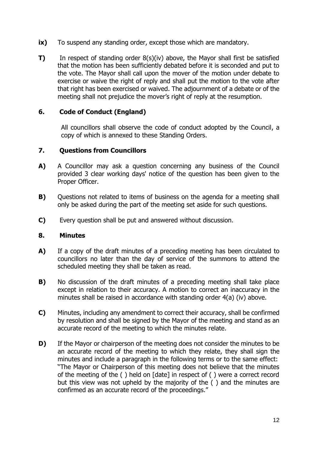- **ix)** To suspend any standing order, except those which are mandatory.
- **T)** In respect of standing order 8(s)(iv) above, the Mayor shall first be satisfied that the motion has been sufficiently debated before it is seconded and put to the vote. The Mayor shall call upon the mover of the motion under debate to exercise or waive the right of reply and shall put the motion to the vote after that right has been exercised or waived. The adjournment of a debate or of the meeting shall not prejudice the mover's right of reply at the resumption.

#### **6. Code of Conduct (England)**

All councillors shall observe the code of conduct adopted by the Council, a copy of which is annexed to these Standing Orders.

#### **7. Questions from Councillors**

- **A)** A Councillor may ask a question concerning any business of the Council provided 3 clear working days' notice of the question has been given to the Proper Officer.
- **B)** Ouestions not related to items of business on the agenda for a meeting shall only be asked during the part of the meeting set aside for such questions.
- **C)** Every question shall be put and answered without discussion.

#### **8. Minutes**

- **A)** If a copy of the draft minutes of a preceding meeting has been circulated to councillors no later than the day of service of the summons to attend the scheduled meeting they shall be taken as read.
- **B)** No discussion of the draft minutes of a preceding meeting shall take place except in relation to their accuracy. A motion to correct an inaccuracy in the minutes shall be raised in accordance with standing order 4(a) (iv) above.
- **C)** Minutes, including any amendment to correct their accuracy, shall be confirmed by resolution and shall be signed by the Mayor of the meeting and stand as an accurate record of the meeting to which the minutes relate.
- **D)** If the Mayor or chairperson of the meeting does not consider the minutes to be an accurate record of the meeting to which they relate, they shall sign the minutes and include a paragraph in the following terms or to the same effect: "The Mayor or Chairperson of this meeting does not believe that the minutes of the meeting of the ( ) held on [date] in respect of ( ) were a correct record but this view was not upheld by the majority of the ( ) and the minutes are confirmed as an accurate record of the proceedings."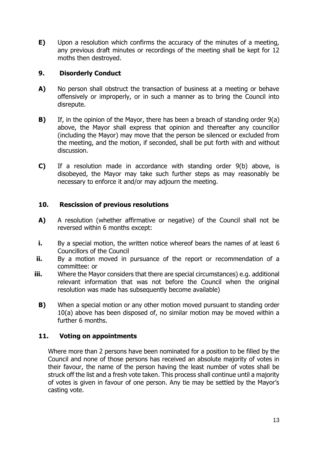**E)** Upon a resolution which confirms the accuracy of the minutes of a meeting, any previous draft minutes or recordings of the meeting shall be kept for 12 moths then destroyed.

# **9. Disorderly Conduct**

- **A)** No person shall obstruct the transaction of business at a meeting or behave offensively or improperly, or in such a manner as to bring the Council into disrepute.
- **B)** If, in the opinion of the Mayor, there has been a breach of standing order 9(a) above, the Mayor shall express that opinion and thereafter any councillor (including the Mayor) may move that the person be silenced or excluded from the meeting, and the motion, if seconded, shall be put forth with and without discussion.
- **C)** If a resolution made in accordance with standing order 9(b) above, is disobeyed, the Mayor may take such further steps as may reasonably be necessary to enforce it and/or may adjourn the meeting.

#### **10. Rescission of previous resolutions**

- **A)** A resolution (whether affirmative or negative) of the Council shall not be reversed within 6 months except:
- **i.** By a special motion, the written notice whereof bears the names of at least 6 Councillors of the Council
- **ii.** By a motion moved in pursuance of the report or recommendation of a committee: or
- **iii.** Where the Mayor considers that there are special circumstances) e.g. additional relevant information that was not before the Council when the original resolution was made has subsequently become available)
	- **B)** When a special motion or any other motion moved pursuant to standing order 10(a) above has been disposed of, no similar motion may be moved within a further 6 months.

# **11. Voting on appointments**

Where more than 2 persons have been nominated for a position to be filled by the Council and none of those persons has received an absolute majority of votes in their favour, the name of the person having the least number of votes shall be struck off the list and a fresh vote taken. This process shall continue until a majority of votes is given in favour of one person. Any tie may be settled by the Mayor's casting vote.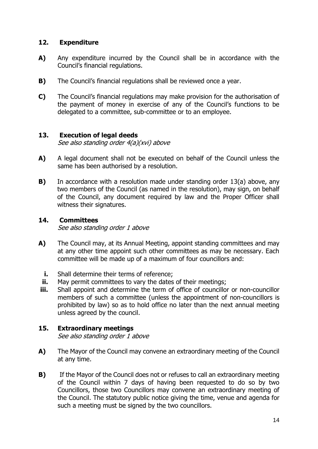#### **12. Expenditure**

- **A)** Any expenditure incurred by the Council shall be in accordance with the Council's financial regulations.
- **B)** The Council's financial regulations shall be reviewed once a year.
- **C)** The Council's financial regulations may make provision for the authorisation of the payment of money in exercise of any of the Council's functions to be delegated to a committee, sub-committee or to an employee.

#### **13. Execution of legal deeds**

See also standing order 4(a)(xvi) above

- **A)** A legal document shall not be executed on behalf of the Council unless the same has been authorised by a resolution.
- **B)** In accordance with a resolution made under standing order 13(a) above, any two members of the Council (as named in the resolution), may sign, on behalf of the Council, any document required by law and the Proper Officer shall witness their signatures.

#### **14. Committees**

See also standing order 1 above

- **A)** The Council may, at its Annual Meeting, appoint standing committees and may at any other time appoint such other committees as may be necessary. Each committee will be made up of a maximum of four councillors and:
	- **i.** Shall determine their terms of reference;
- **ii.** May permit committees to vary the dates of their meetings;
- **iii.** Shall appoint and determine the term of office of councillor or non-councillor members of such a committee (unless the appointment of non-councillors is prohibited by law) so as to hold office no later than the next annual meeting unless agreed by the council.

# **15. Extraordinary meetings**

See also standing order 1 above

- **A)** The Mayor of the Council may convene an extraordinary meeting of the Council at any time.
- **B)** If the Mayor of the Council does not or refuses to call an extraordinary meeting of the Council within 7 days of having been requested to do so by two Councillors, those two Councillors may convene an extraordinary meeting of the Council. The statutory public notice giving the time, venue and agenda for such a meeting must be signed by the two councillors.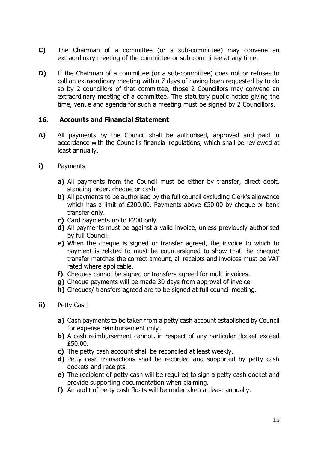- **C)** The Chairman of a committee (or a sub-committee) may convene an extraordinary meeting of the committee or sub-committee at any time.
- **D)** If the Chairman of a committee (or a sub-committee) does not or refuses to call an extraordinary meeting within 7 days of having been requested by to do so by 2 councillors of that committee, those 2 Councillors may convene an extraordinary meeting of a committee. The statutory public notice giving the time, venue and agenda for such a meeting must be signed by 2 Councillors.

#### **16. Accounts and Financial Statement**

- **A)** All payments by the Council shall be authorised, approved and paid in accordance with the Council's financial regulations, which shall be reviewed at least annually.
- **i)** Payments
	- **a)** All payments from the Council must be either by transfer, direct debit, standing order, cheque or cash.
	- **b)** All payments to be authorised by the full council excluding Clerk's allowance which has a limit of £200.00. Payments above £50.00 by cheque or bank transfer only.
	- **c)** Card payments up to £200 only.
	- **d)** All payments must be against a valid invoice, unless previously authorised by full Council.
	- **e)** When the cheque is signed or transfer agreed, the invoice to which to payment is related to must be countersigned to show that the cheque/ transfer matches the correct amount, all receipts and invoices must be VAT rated where applicable.
	- **f)** Cheques cannot be signed or transfers agreed for multi invoices.
	- **g)** Cheque payments will be made 30 days from approval of invoice
	- **h)** Cheques/ transfers agreed are to be signed at full council meeting.
- **ii)** Petty Cash
	- **a)** Cash payments to be taken from a petty cash account established by Council for expense reimbursement only.
	- **b)** A cash reimbursement cannot, in respect of any particular docket exceed £50.00.
	- **c)** The petty cash account shall be reconciled at least weekly.
	- **d)** Petty cash transactions shall be recorded and supported by petty cash dockets and receipts.
	- **e)** The recipient of petty cash will be required to sign a petty cash docket and provide supporting documentation when claiming.
	- **f)** An audit of petty cash floats will be undertaken at least annually.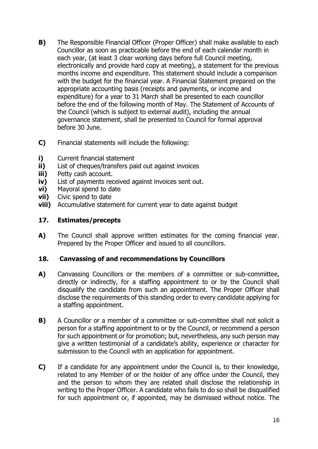- **B)** The Responsible Financial Officer (Proper Officer) shall make available to each Councillor as soon as practicable before the end of each calendar month in each year, (at least 3 clear working days before full Council meeting, electronically and provide hard copy at meeting), a statement for the previous months income and expenditure. This statement should include a comparison with the budget for the financial year. A Financial Statement prepared on the appropriate accounting basis (receipts and payments, or income and expenditure) for a year to 31 March shall be presented to each councillor before the end of the following month of May. The Statement of Accounts of the Council (which is subject to external audit), including the annual governance statement, shall be presented to Council for formal approval before 30 June.
- **C)** Financial statements will include the following:
- **i)** Current financial statement
- **ii)** List of cheques/transfers paid out against invoices
- **iii)** Petty cash account.
- **iv)** List of payments received against invoices sent out.
- **vi)** Mayoral spend to date
- **vii)** Civic spend to date
- **viii)** Accumulative statement for current year to date against budget

#### **17. Estimates/precepts**

**A)** The Council shall approve written estimates for the coming financial year. Prepared by the Proper Officer and issued to all councillors.

# **18. Canvassing of and recommendations by Councillors**

- A) Canvassing Councillors or the members of a committee or sub-committee, directly or indirectly, for a staffing appointment to or by the Council shall disqualify the candidate from such an appointment. The Proper Officer shall disclose the requirements of this standing order to every candidate applying for a staffing appointment.
- **B)** A Councillor or a member of a committee or sub-committee shall not solicit a person for a staffing appointment to or by the Council, or recommend a person for such appointment or for promotion; but, nevertheless, any such person may give a written testimonial of a candidate's ability, experience or character for submission to the Council with an application for appointment.
- **C)** If a candidate for any appointment under the Council is, to their knowledge, related to any Member of or the holder of any office under the Council, they and the person to whom they are related shall disclose the relationship in writing to the Proper Officer. A candidate who fails to do so shall be disqualified for such appointment or, if appointed, may be dismissed without notice. The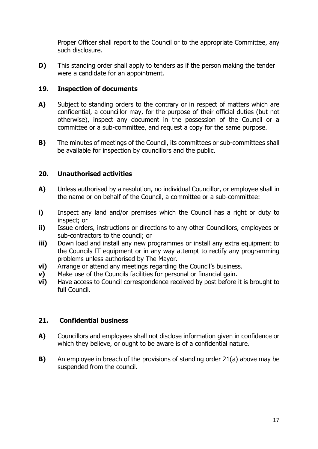Proper Officer shall report to the Council or to the appropriate Committee, any such disclosure.

**D)** This standing order shall apply to tenders as if the person making the tender were a candidate for an appointment.

#### **19. Inspection of documents**

- **A)** Subject to standing orders to the contrary or in respect of matters which are confidential, a councillor may, for the purpose of their official duties (but not otherwise), inspect any document in the possession of the Council or a committee or a sub-committee, and request a copy for the same purpose.
- **B)** The minutes of meetings of the Council, its committees or sub-committees shall be available for inspection by councillors and the public.

#### **20. Unauthorised activities**

- **A)** Unless authorised by a resolution, no individual Councillor, or employee shall in the name or on behalf of the Council, a committee or a sub-committee:
- **i)** Inspect any land and/or premises which the Council has a right or duty to inspect; or
- **ii)** Issue orders, instructions or directions to any other Councillors, employees or sub-contractors to the council; or
- **iii)** Down load and install any new programmes or install any extra equipment to the Councils IT equipment or in any way attempt to rectify any programming problems unless authorised by The Mayor.
- **vi)** Arrange or attend any meetings regarding the Council's business.
- **v)** Make use of the Councils facilities for personal or financial gain.
- **vi)** Have access to Council correspondence received by post before it is brought to full Council.

#### **21. Confidential business**

- **A)** Councillors and employees shall not disclose information given in confidence or which they believe, or ought to be aware is of a confidential nature.
- **B)** An employee in breach of the provisions of standing order 21(a) above may be suspended from the council.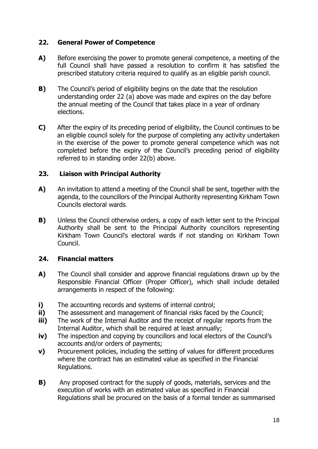#### **22. General Power of Competence**

- **A)** Before exercising the power to promote general competence, a meeting of the full Council shall have passed a resolution to confirm it has satisfied the prescribed statutory criteria required to qualify as an eligible parish council.
- **B)** The Council's period of eligibility begins on the date that the resolution understanding order 22 (a) above was made and expires on the day before the annual meeting of the Council that takes place in a year of ordinary elections.
- **C)** After the expiry of its preceding period of eligibility, the Council continues to be an eligible council solely for the purpose of completing any activity undertaken in the exercise of the power to promote general competence which was not completed before the expiry of the Council's preceding period of eligibility referred to in standing order 22(b) above.

#### **23. Liaison with Principal Authority**

- **A)** An invitation to attend a meeting of the Council shall be sent, together with the agenda, to the councillors of the Principal Authority representing Kirkham Town Councils electoral wards.
- **B)** Unless the Council otherwise orders, a copy of each letter sent to the Principal Authority shall be sent to the Principal Authority councillors representing Kirkham Town Council's electoral wards if not standing on Kirkham Town Council.

# **24. Financial matters**

- **A)** The Council shall consider and approve financial regulations drawn up by the Responsible Financial Officer (Proper Officer), which shall include detailed arrangements in respect of the following:
- **i)** The accounting records and systems of internal control;
- **ii)** The assessment and management of financial risks faced by the Council;
- **iii)** The work of the Internal Auditor and the receipt of regular reports from the Internal Auditor, which shall be required at least annually;
- **iv)** The inspection and copying by councillors and local electors of the Council's accounts and/or orders of payments;
- **v)** Procurement policies, including the setting of values for different procedures where the contract has an estimated value as specified in the Financial Regulations.
- **B)** Any proposed contract for the supply of goods, materials, services and the execution of works with an estimated value as specified in Financial Regulations shall be procured on the basis of a formal tender as summarised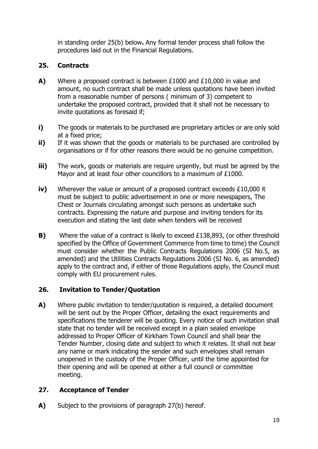in standing order 25(b) below**.** Any formal tender process shall follow the procedures laid out in the Financial Regulations.

# **25. Contracts**

- **A)** Where a proposed contract is between £1000 and £10,000 in value and amount, no such contract shall be made unless quotations have been invited from a reasonable number of persons ( minimum of 3) competent to undertake the proposed contract, provided that it shall not be necessary to invite quotations as foresaid if;
- **i)** The goods or materials to be purchased are proprietary articles or are only sold at a fixed price;
- **ii)** If it was shown that the goods or materials to be purchased are controlled by organisations or if for other reasons there would be no genuine competition.
- **iii)** The work, goods or materials are require urgently, but must be agreed by the Mayor and at least four other councillors to a maximum of £1000.
- **iv)** Wherever the value or amount of a proposed contract exceeds £10,000 it must be subject to public advertisement in one or more newspapers, The Chest or Journals circulating amongst such persons as undertake such contracts. Expressing the nature and purpose and inviting tenders for its execution and stating the last date when tenders will be received
- **B)** Where the value of a contract is likely to exceed £138,893, (or other threshold specified by the Office of Government Commerce from time to time) the Council must consider whether the Public Contracts Regulations 2006 (SI No.5, as amended) and the Utilities Contracts Regulations 2006 (SI No. 6, as amended) apply to the contract and, if either of those Regulations apply, the Council must comply with EU procurement rules.

# **26. Invitation to Tender/Quotation**

**A)** Where public invitation to tender/quotation is required, a detailed document will be sent out by the Proper Officer, detailing the exact requirements and specifications the tenderer will be quoting. Every notice of such invitation shall state that no tender will be received except in a plain sealed envelope addressed to Proper Officer of Kirkham Town Council and shall bear the Tender Number, closing date and subject to which it relates. It shall not bear any name or mark indicating the sender and such envelopes shall remain unopened in the custody of the Proper Officer, until the time appointed for their opening and will be opened at either a full council or committee meeting.

# **27. Acceptance of Tender**

**A)** Subject to the provisions of paragraph 27(b) hereof.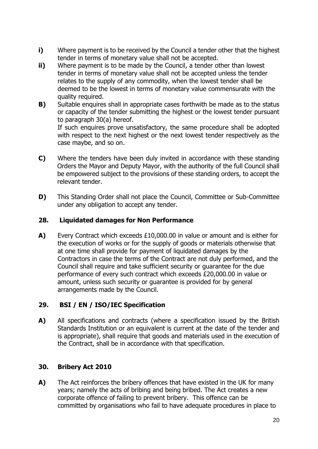- **i)** Where payment is to be received by the Council a tender other that the highest tender in terms of monetary value shall not be accepted.
- **ii)** Where payment is to be made by the Council, a tender other than lowest tender in terms of monetary value shall not be accepted unless the tender relates to the supply of any commodity, when the lowest tender shall be deemed to be the lowest in terms of monetary value commensurate with the quality required.
- **B)** Suitable enquires shall in appropriate cases forthwith be made as to the status or capacity of the tender submitting the highest or the lowest tender pursuant to paragraph 30(a) hereof.

If such enquires prove unsatisfactory, the same procedure shall be adopted with respect to the next highest or the next lowest tender respectively as the case maybe, and so on.

- **C)** Where the tenders have been duly invited in accordance with these standing Orders the Mayor and Deputy Mayor, with the authority of the full Council shall be empowered subject to the provisions of these standing orders, to accept the relevant tender.
- **D)** This Standing Order shall not place the Council, Committee or Sub-Committee under any obligation to accept any tender.

# **28. Liquidated damages for Non Performance**

**A)** Every Contract which exceeds £10,000.00 in value or amount and is either for the execution of works or for the supply of goods or materials otherwise that at one time shall provide for payment of liquidated damages by the Contractors in case the terms of the Contract are not duly performed, and the Council shall require and take sufficient security or guarantee for the due performance of every such contract which exceeds £20,000.00 in value or amount, unless such security or guarantee is provided for by general arrangements made by the Council.

# **29. BSI / EN / ISO/IEC Specification**

**A)** All specifications and contracts (where a specification issued by the British Standards Institution or an equivalent is current at the date of the tender and is appropriate), shall require that goods and materials used in the execution of the Contract, shall be in accordance with that specification.

# **30. Bribery Act 2010**

**A)** The Act reinforces the bribery offences that have existed in the UK for many years; namely the acts of bribing and being bribed. The Act creates a new corporate offence of failing to prevent bribery. This offence can be committed by organisations who fail to have adequate procedures in place to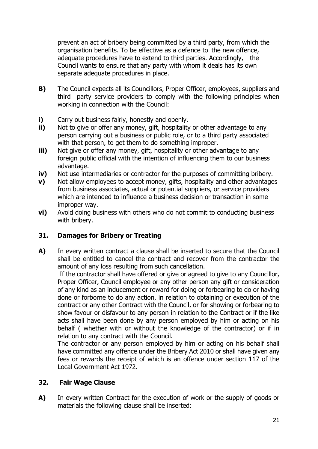prevent an act of bribery being committed by a third party, from which the organisation benefits. To be effective as a defence to the new offence, adequate procedures have to extend to third parties. Accordingly, the Council wants to ensure that any party with whom it deals has its own separate adequate procedures in place.

- **B)** The Council expects all its Councillors, Proper Officer, employees, suppliers and third party service providers to comply with the following principles when working in connection with the Council:
- **i)** Carry out business fairly, honestly and openly.<br>**ii)** Not to give or offer any money, gift, hospitality
- Not to give or offer any money, gift, hospitality or other advantage to any person carrying out a business or public role, or to a third party associated with that person, to get them to do something improper.
- **iii)** Not give or offer any money, gift, hospitality or other advantage to any foreign public official with the intention of influencing them to our business advantage.
- **iv)** Not use intermediaries or contractor for the purposes of committing bribery.
- **v)** Not allow employees to accept money, gifts, hospitality and other advantages from business associates, actual or potential suppliers, or service providers which are intended to influence a business decision or transaction in some improper way.
- **vi)** Avoid doing business with others who do not commit to conducting business with bribery.

# **31. Damages for Bribery or Treating**

**A)** In every written contract a clause shall be inserted to secure that the Council shall be entitled to cancel the contract and recover from the contractor the amount of any loss resulting from such cancellation.

If the contractor shall have offered or give or agreed to give to any Councillor, Proper Officer, Council employee or any other person any gift or consideration of any kind as an inducement or reward for doing or forbearing to do or having done or forborne to do any action, in relation to obtaining or execution of the contract or any other Contract with the Council, or for showing or forbearing to show favour or disfavour to any person in relation to the Contract or if the like acts shall have been done by any person employed by him or acting on his behalf ( whether with or without the knowledge of the contractor) or if in relation to any contract with the Council.

The contractor or any person employed by him or acting on his behalf shall have committed any offence under the Bribery Act 2010 or shall have given any fees or rewards the receipt of which is an offence under section 117 of the Local Government Act 1972.

#### **32. Fair Wage Clause**

**A)** In every written Contract for the execution of work or the supply of goods or materials the following clause shall be inserted: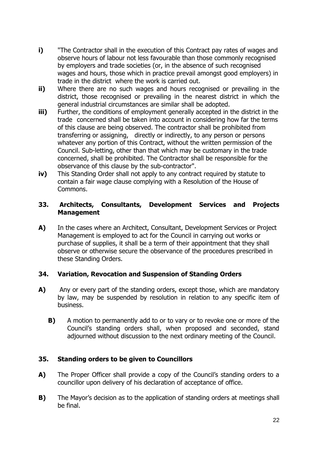- **i)** "The Contractor shall in the execution of this Contract pay rates of wages and observe hours of labour not less favourable than those commonly recognised by employers and trade societies (or, in the absence of such recognised wages and hours, those which in practice prevail amongst good employers) in trade in the district where the work is carried out.
- **ii)** Where there are no such wages and hours recognised or prevailing in the district, those recognised or prevailing in the nearest district in which the general industrial circumstances are similar shall be adopted.
- **iii)** Further, the conditions of employment generally accepted in the district in the trade concerned shall be taken into account in considering how far the terms of this clause are being observed. The contractor shall be prohibited from transferring or assigning, directly or indirectly, to any person or persons whatever any portion of this Contract, without the written permission of the Council. Sub-letting, other than that which may be customary in the trade concerned, shall be prohibited. The Contractor shall be responsible for the observance of this clause by the sub-contractor".
- **iv)** This Standing Order shall not apply to any contract required by statute to contain a fair wage clause complying with a Resolution of the House of Commons.

#### **33. Architects, Consultants, Development Services and Projects Management**

**A)** In the cases where an Architect, Consultant, Development Services or Project Management is employed to act for the Council in carrying out works or purchase of supplies, it shall be a term of their appointment that they shall observe or otherwise secure the observance of the procedures prescribed in these Standing Orders.

#### **34. Variation, Revocation and Suspension of Standing Orders**

- **A)** Any or every part of the standing orders, except those, which are mandatory by law, may be suspended by resolution in relation to any specific item of business.
	- **B)** A motion to permanently add to or to vary or to revoke one or more of the Council's standing orders shall, when proposed and seconded, stand adjourned without discussion to the next ordinary meeting of the Council.

#### **35. Standing orders to be given to Councillors**

- **A)** The Proper Officer shall provide a copy of the Council's standing orders to a councillor upon delivery of his declaration of acceptance of office.
- **B)** The Mayor's decision as to the application of standing orders at meetings shall be final.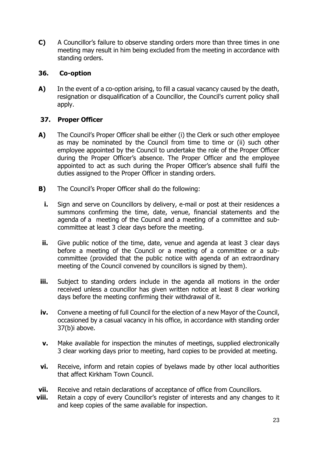**C)** A Councillor's failure to observe standing orders more than three times in one meeting may result in him being excluded from the meeting in accordance with standing orders.

# **36. Co-option**

**A)** In the event of a co-option arising, to fill a casual vacancy caused by the death, resignation or disqualification of a Councillor, the Council's current policy shall apply.

# **37. Proper Officer**

- **A)** The Council's Proper Officer shall be either (i) the Clerk or such other employee as may be nominated by the Council from time to time or (ii) such other employee appointed by the Council to undertake the role of the Proper Officer during the Proper Officer's absence. The Proper Officer and the employee appointed to act as such during the Proper Officer's absence shall fulfil the duties assigned to the Proper Officer in standing orders.
- **B)** The Council's Proper Officer shall do the following:
	- **i.** Sign and serve on Councillors by delivery, e-mail or post at their residences a summons confirming the time, date, venue, financial statements and the agenda of a meeting of the Council and a meeting of a committee and subcommittee at least 3 clear days before the meeting.
	- **ii.** Give public notice of the time, date, venue and agenda at least 3 clear days before a meeting of the Council or a meeting of a committee or a subcommittee (provided that the public notice with agenda of an extraordinary meeting of the Council convened by councillors is signed by them).
- **iii.** Subject to standing orders include in the agenda all motions in the order received unless a councillor has given written notice at least 8 clear working days before the meeting confirming their withdrawal of it.
- **iv.** Convene a meeting of full Council for the election of a new Mayor of the Council, occasioned by a casual vacancy in his office, in accordance with standing order 37(b)i above.
- **v.** Make available for inspection the minutes of meetings, supplied electronically 3 clear working days prior to meeting, hard copies to be provided at meeting.
- **vi.** Receive, inform and retain copies of byelaws made by other local authorities that affect Kirkham Town Council.
- **vii.** Receive and retain declarations of acceptance of office from Councillors.
- **viii.** Retain a copy of every Councillor's register of interests and any changes to it and keep copies of the same available for inspection.